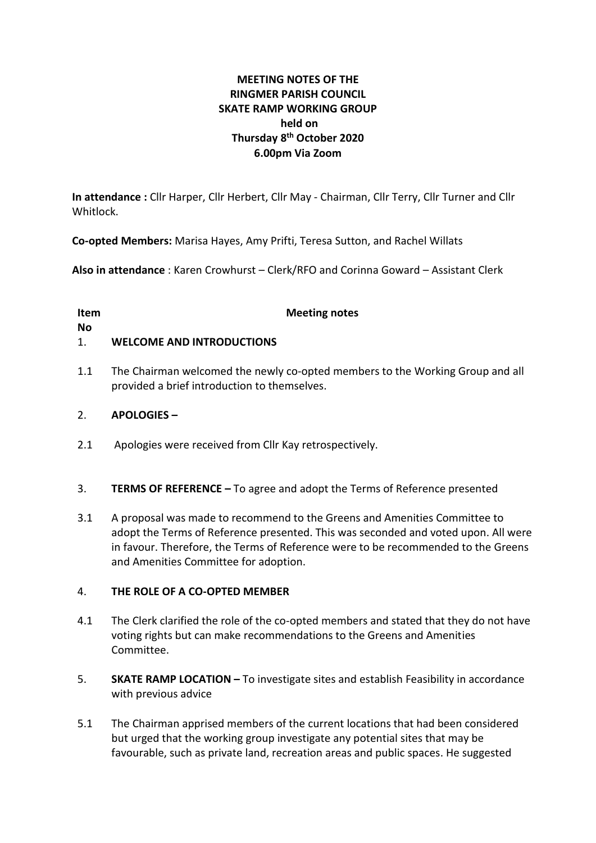# **MEETING NOTES OF THE RINGMER PARISH COUNCIL SKATE RAMP WORKING GROUP held on Thursday 8 th October 2020 6.00pm Via Zoom**

**In attendance :** Cllr Harper, Cllr Herbert, Cllr May - Chairman, Cllr Terry, Cllr Turner and Cllr Whitlock.

**Co-opted Members:** Marisa Hayes, Amy Prifti, Teresa Sutton, and Rachel Willats

**Also in attendance** : Karen Crowhurst – Clerk/RFO and Corinna Goward – Assistant Clerk

| Item      | <b>Meeting notes</b> |
|-----------|----------------------|
| <b>No</b> |                      |

# 1. **WELCOME AND INTRODUCTIONS**

1.1 The Chairman welcomed the newly co-opted members to the Working Group and all provided a brief introduction to themselves.

### 2. **APOLOGIES –**

- 2.1 Apologies were received from Cllr Kay retrospectively.
- 3. **TERMS OF REFERENCE –** To agree and adopt the Terms of Reference presented
- 3.1 A proposal was made to recommend to the Greens and Amenities Committee to adopt the Terms of Reference presented. This was seconded and voted upon. All were in favour. Therefore, the Terms of Reference were to be recommended to the Greens and Amenities Committee for adoption.

#### 4. **THE ROLE OF A CO-OPTED MEMBER**

- 4.1 The Clerk clarified the role of the co-opted members and stated that they do not have voting rights but can make recommendations to the Greens and Amenities Committee.
- 5. **SKATE RAMP LOCATION –** To investigate sites and establish Feasibility in accordance with previous advice
- 5.1 The Chairman apprised members of the current locations that had been considered but urged that the working group investigate any potential sites that may be favourable, such as private land, recreation areas and public spaces. He suggested